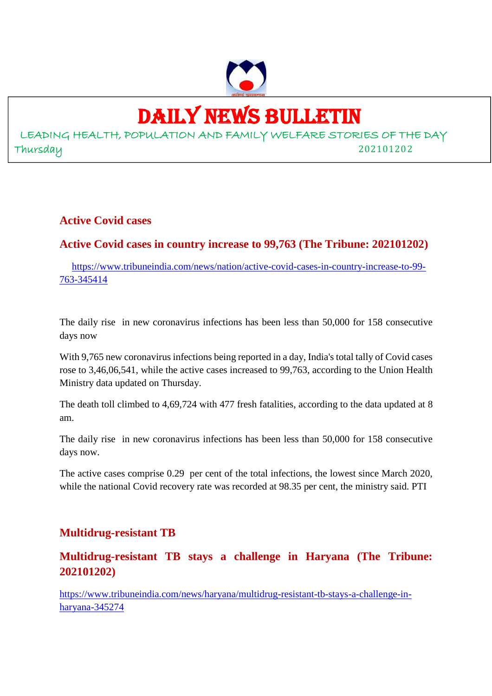

## DAILY NEWS BULLETIN

LEADING HEALTH, POPULATION AND FAMILY WELFARE STORIES OF THE DAY Thursday 202101202

**Active Covid cases**

## **Active Covid cases in country increase to 99,763 (The Tribune: 202101202)**

https://www.tribuneindia.com/news/nation/active-covid-cases-in-country-increase-to-99- 763-345414

The daily rise in new coronavirus infections has been less than 50,000 for 158 consecutive days now

With 9,765 new coronavirus infections being reported in a day, India's total tally of Covid cases rose to 3,46,06,541, while the active cases increased to 99,763, according to the Union Health Ministry data updated on Thursday.

The death toll climbed to 4,69,724 with 477 fresh fatalities, according to the data updated at 8 am.

The daily rise in new coronavirus infections has been less than 50,000 for 158 consecutive days now.

The active cases comprise 0.29 per cent of the total infections, the lowest since March 2020, while the national Covid recovery rate was recorded at 98.35 per cent, the ministry said. PTI

## **Multidrug-resistant TB**

## **Multidrug-resistant TB stays a challenge in Haryana (The Tribune: 202101202)**

https://www.tribuneindia.com/news/haryana/multidrug-resistant-tb-stays-a-challenge-inharyana-345274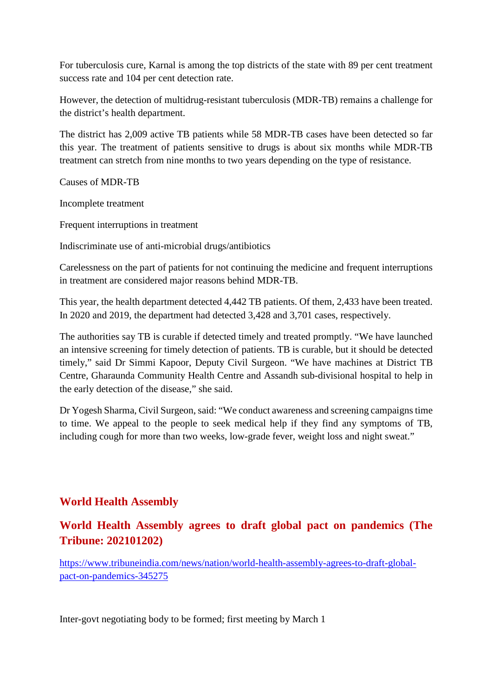For tuberculosis cure, Karnal is among the top districts of the state with 89 per cent treatment success rate and 104 per cent detection rate.

However, the detection of multidrug-resistant tuberculosis (MDR-TB) remains a challenge for the district's health department.

The district has 2,009 active TB patients while 58 MDR-TB cases have been detected so far this year. The treatment of patients sensitive to drugs is about six months while MDR-TB treatment can stretch from nine months to two years depending on the type of resistance.

Causes of MDR-TB

Incomplete treatment

Frequent interruptions in treatment

Indiscriminate use of anti-microbial drugs/antibiotics

Carelessness on the part of patients for not continuing the medicine and frequent interruptions in treatment are considered major reasons behind MDR-TB.

This year, the health department detected 4,442 TB patients. Of them, 2,433 have been treated. In 2020 and 2019, the department had detected 3,428 and 3,701 cases, respectively.

The authorities say TB is curable if detected timely and treated promptly. "We have launched an intensive screening for timely detection of patients. TB is curable, but it should be detected timely," said Dr Simmi Kapoor, Deputy Civil Surgeon. "We have machines at District TB Centre, Gharaunda Community Health Centre and Assandh sub-divisional hospital to help in the early detection of the disease," she said.

Dr Yogesh Sharma, Civil Surgeon, said: "We conduct awareness and screening campaigns time to time. We appeal to the people to seek medical help if they find any symptoms of TB, including cough for more than two weeks, low-grade fever, weight loss and night sweat."

## **World Health Assembly**

## **World Health Assembly agrees to draft global pact on pandemics (The Tribune: 202101202)**

https://www.tribuneindia.com/news/nation/world-health-assembly-agrees-to-draft-globalpact-on-pandemics-345275

Inter-govt negotiating body to be formed; first meeting by March 1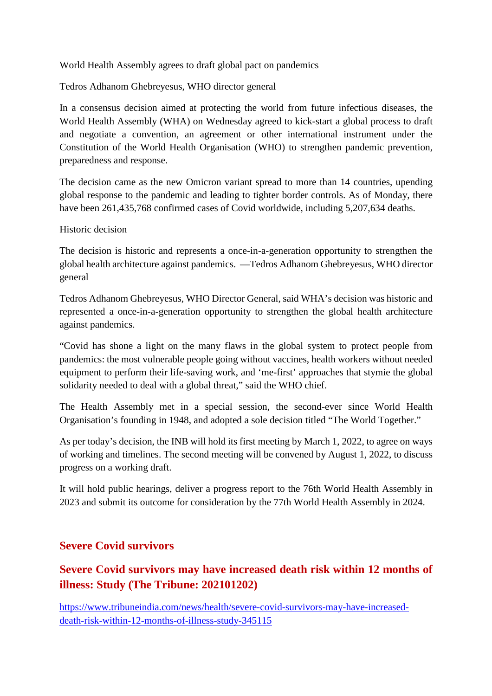World Health Assembly agrees to draft global pact on pandemics

Tedros Adhanom Ghebreyesus, WHO director general

In a consensus decision aimed at protecting the world from future infectious diseases, the World Health Assembly (WHA) on Wednesday agreed to kick-start a global process to draft and negotiate a convention, an agreement or other international instrument under the Constitution of the World Health Organisation (WHO) to strengthen pandemic prevention, preparedness and response.

The decision came as the new Omicron variant spread to more than 14 countries, upending global response to the pandemic and leading to tighter border controls. As of Monday, there have been 261,435,768 confirmed cases of Covid worldwide, including 5,207,634 deaths.

Historic decision

The decision is historic and represents a once-in-a-generation opportunity to strengthen the global health architecture against pandemics. —Tedros Adhanom Ghebreyesus, WHO director general

Tedros Adhanom Ghebreyesus, WHO Director General, said WHA's decision was historic and represented a once-in-a-generation opportunity to strengthen the global health architecture against pandemics.

"Covid has shone a light on the many flaws in the global system to protect people from pandemics: the most vulnerable people going without vaccines, health workers without needed equipment to perform their life-saving work, and 'me-first' approaches that stymie the global solidarity needed to deal with a global threat," said the WHO chief.

The Health Assembly met in a special session, the second-ever since World Health Organisation's founding in 1948, and adopted a sole decision titled "The World Together."

As per today's decision, the INB will hold its first meeting by March 1, 2022, to agree on ways of working and timelines. The second meeting will be convened by August 1, 2022, to discuss progress on a working draft.

It will hold public hearings, deliver a progress report to the 76th World Health Assembly in 2023 and submit its outcome for consideration by the 77th World Health Assembly in 2024.

## **Severe Covid survivors**

## **Severe Covid survivors may have increased death risk within 12 months of illness: Study (The Tribune: 202101202)**

https://www.tribuneindia.com/news/health/severe-covid-survivors-may-have-increaseddeath-risk-within-12-months-of-illness-study-345115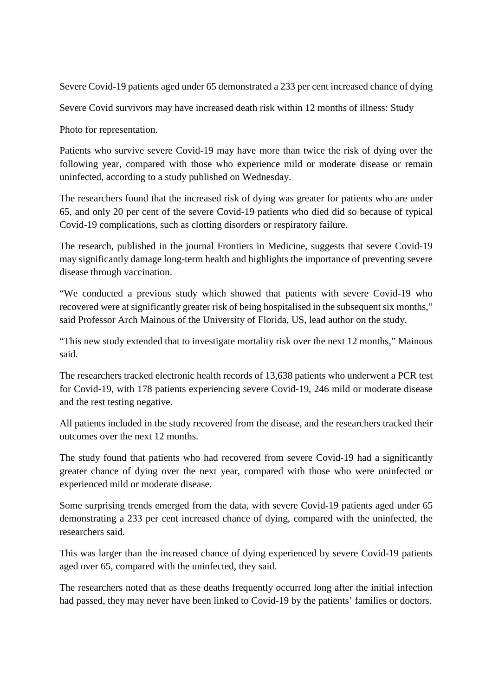Severe Covid-19 patients aged under 65 demonstrated a 233 per cent increased chance of dying

Severe Covid survivors may have increased death risk within 12 months of illness: Study

Photo for representation.

Patients who survive severe Covid-19 may have more than twice the risk of dying over the following year, compared with those who experience mild or moderate disease or remain uninfected, according to a study published on Wednesday.

The researchers found that the increased risk of dying was greater for patients who are under 65, and only 20 per cent of the severe Covid-19 patients who died did so because of typical Covid-19 complications, such as clotting disorders or respiratory failure.

The research, published in the journal Frontiers in Medicine, suggests that severe Covid-19 may significantly damage long-term health and highlights the importance of preventing severe disease through vaccination.

"We conducted a previous study which showed that patients with severe Covid-19 who recovered were at significantly greater risk of being hospitalised in the subsequent six months," said Professor Arch Mainous of the University of Florida, US, lead author on the study.

"This new study extended that to investigate mortality risk over the next 12 months," Mainous said.

The researchers tracked electronic health records of 13,638 patients who underwent a PCR test for Covid-19, with 178 patients experiencing severe Covid-19, 246 mild or moderate disease and the rest testing negative.

All patients included in the study recovered from the disease, and the researchers tracked their outcomes over the next 12 months.

The study found that patients who had recovered from severe Covid-19 had a significantly greater chance of dying over the next year, compared with those who were uninfected or experienced mild or moderate disease.

Some surprising trends emerged from the data, with severe Covid-19 patients aged under 65 demonstrating a 233 per cent increased chance of dying, compared with the uninfected, the researchers said.

This was larger than the increased chance of dying experienced by severe Covid-19 patients aged over 65, compared with the uninfected, they said.

The researchers noted that as these deaths frequently occurred long after the initial infection had passed, they may never have been linked to Covid-19 by the patients' families or doctors.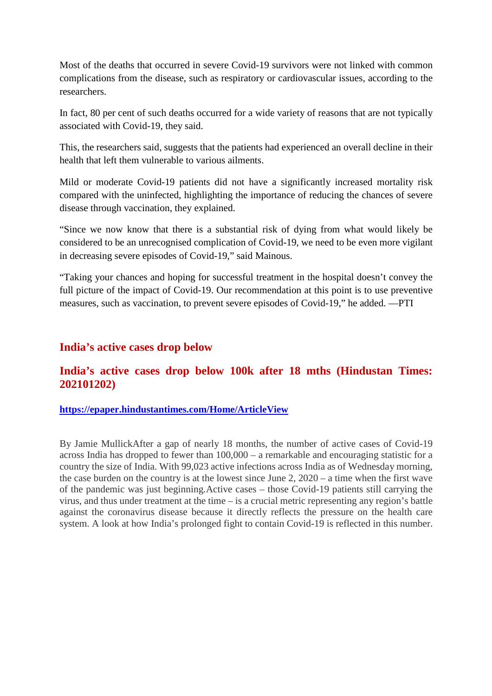Most of the deaths that occurred in severe Covid-19 survivors were not linked with common complications from the disease, such as respiratory or cardiovascular issues, according to the researchers.

In fact, 80 per cent of such deaths occurred for a wide variety of reasons that are not typically associated with Covid-19, they said.

This, the researchers said, suggests that the patients had experienced an overall decline in their health that left them vulnerable to various ailments.

Mild or moderate Covid-19 patients did not have a significantly increased mortality risk compared with the uninfected, highlighting the importance of reducing the chances of severe disease through vaccination, they explained.

"Since we now know that there is a substantial risk of dying from what would likely be considered to be an unrecognised complication of Covid-19, we need to be even more vigilant in decreasing severe episodes of Covid-19," said Mainous.

"Taking your chances and hoping for successful treatment in the hospital doesn't convey the full picture of the impact of Covid-19. Our recommendation at this point is to use preventive measures, such as vaccination, to prevent severe episodes of Covid-19," he added. —PTI

### **India's active cases drop below**

## **India's active cases drop below 100k after 18 mths (Hindustan Times: 202101202)**

#### **https://epaper.hindustantimes.com/Home/ArticleView**

By Jamie MullickAfter a gap of nearly 18 months, the number of active cases of Covid-19 across India has dropped to fewer than 100,000 – a remarkable and encouraging statistic for a country the size of India. With 99,023 active infections across India as of Wednesday morning, the case burden on the country is at the lowest since June 2, 2020 – a time when the first wave of the pandemic was just beginning.Active cases – those Covid-19 patients still carrying the virus, and thus under treatment at the time – is a crucial metric representing any region's battle against the coronavirus disease because it directly reflects the pressure on the health care system. A look at how India's prolonged fight to contain Covid-19 is reflected in this number.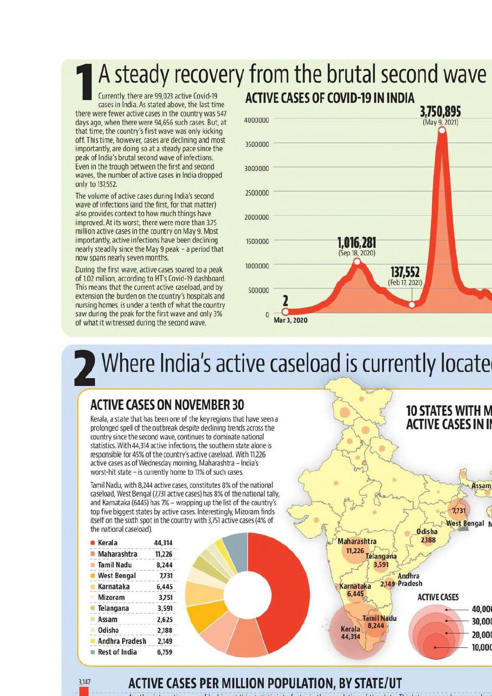## A steady recovery from the brutal second wave **ACTIVE CASES OF COVID-19 IN INDIA**

Currently, there are 99,023 active Covid-19 cases in India. As stated above, the last time there were fewer active cases in the country was 547 days ago, when there were 94,656 such cases. But, at that time, the country's first wave was only kicking off. This time, however, cases are declining and most importantly, are doing so at a steady pace since the peak of India's brutal second wave of infections. Even in the trough between the first and second waves, the number of active cases in India dropped only to 137,552.

The volume of active cases during India's second wave of infections (and the first, for that matter) also provides context to how much things have improved. At its worst, there were more than 3.75 million active cases in the country on May 9. Most importantly, active infections have been declining nearly steadily since the May 9 peak - a period that now spans nearly seven months.

During the first wave, active cases soared to a peak of 1.02 million, according to HT's Covid-19 dashboard. This means that the current active caseload, and by extension the burden on the country's hospitals and nursing homes, is under a tenth of what the country saw during the peak for the first wave and only 3% of what it witnessed during the second wave.

## 3,750,895 4000000 (May 9, 2021) 3500000 3000000 2500000 2000000  $1,016,281$ <br>(Sep 18, 2020) 1500000 1000000 137,552 (Feb 17, 2021) 500000 C  $\overline{0}$ Mar 3, 2020

# Where India's active caseload is currently locate

## **ACTIVE CASES ON NOVEMBER 30**

Kerala, a state that has been one of the key regions that have seen a prolonged spell of the outbreak despite declining trends across the country since the second wave, continues to dominate national statistics. With 44,314 active infections, the southern state alone is responsible for 45% of the country's active caseload. With 11,226 active cases as of Wednesday morning, Maharashtra - India's worst-hit state - is currently home to 11% of such cases.

Tamil Nadu, with 8.244 active cases, constitutes 8% of the national caseload, West Bengal (7,731 active cases) has 8% of the national tally, and Karnataka (6445) has 7% - wrapping up the list of the country's top five biggest states by active cases. Interestingly, Mizoram finds itself on the sixth spot in the country with 3,751 active cases (4% of the national caseload).

| Kerala                | 44,314 |
|-----------------------|--------|
| Maharashtra           | 11,226 |
| <b>Tamil Nadu</b>     | 8,244  |
| <b>West Bengal</b>    | 7,731  |
| Karnataka             | 6.445  |
| Mizoram               | 3,751  |
| Telangana             | 3,591  |
| Assam                 | 2,625  |
| Odisha                | 2,188  |
| <b>Andhra Pradesh</b> | 2,149  |
| <b>Rest of India</b>  | 6,759  |

3,147



## **ACTIVE CASES PER MILLION POPULATION, BY STATE/UT**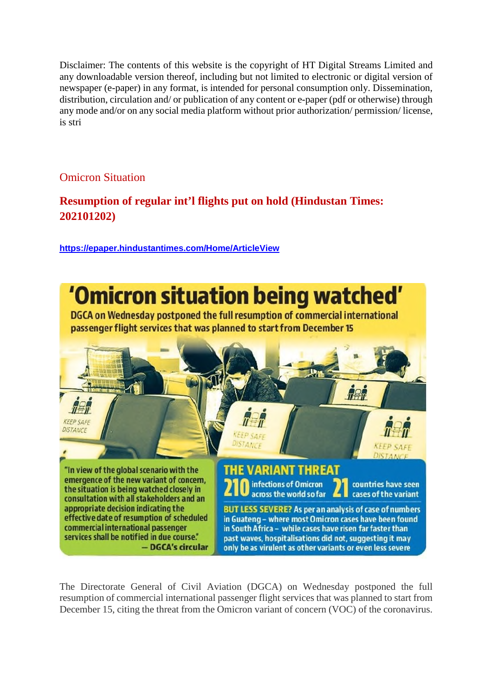Disclaimer: The contents of this website is the copyright of HT Digital Streams Limited and any downloadable version thereof, including but not limited to electronic or digital version of newspaper (e-paper) in any format, is intended for personal consumption only. Dissemination, distribution, circulation and/ or publication of any content or e-paper (pdf or otherwise) through any mode and/or on any social media platform without prior authorization/ permission/ license, is stri

## Omicron Situation

## **Resumption of regular int'l flights put on hold (Hindustan Times: 202101202)**

**https://epaper.hindustantimes.com/Home/ArticleView**



The Directorate General of Civil Aviation (DGCA) on Wednesday postponed the full resumption of commercial international passenger flight services that was planned to start from December 15, citing the threat from the Omicron variant of concern (VOC) of the coronavirus.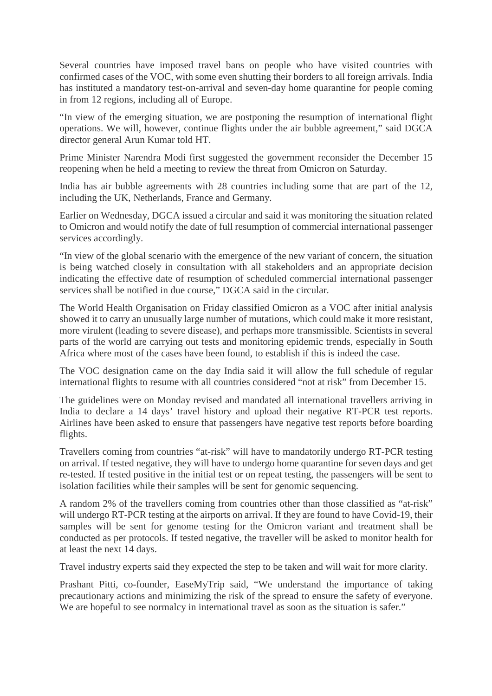Several countries have imposed travel bans on people who have visited countries with confirmed cases of the VOC, with some even shutting their borders to all foreign arrivals. India has instituted a mandatory test-on-arrival and seven-day home quarantine for people coming in from 12 regions, including all of Europe.

"In view of the emerging situation, we are postponing the resumption of international flight operations. We will, however, continue flights under the air bubble agreement," said DGCA director general Arun Kumar told HT.

Prime Minister Narendra Modi first suggested the government reconsider the December 15 reopening when he held a meeting to review the threat from Omicron on Saturday.

India has air bubble agreements with 28 countries including some that are part of the 12, including the UK, Netherlands, France and Germany.

Earlier on Wednesday, DGCA issued a circular and said it was monitoring the situation related to Omicron and would notify the date of full resumption of commercial international passenger services accordingly.

"In view of the global scenario with the emergence of the new variant of concern, the situation is being watched closely in consultation with all stakeholders and an appropriate decision indicating the effective date of resumption of scheduled commercial international passenger services shall be notified in due course," DGCA said in the circular.

The World Health Organisation on Friday classified Omicron as a VOC after initial analysis showed it to carry an unusually large number of mutations, which could make it more resistant, more virulent (leading to severe disease), and perhaps more transmissible. Scientists in several parts of the world are carrying out tests and monitoring epidemic trends, especially in South Africa where most of the cases have been found, to establish if this is indeed the case.

The VOC designation came on the day India said it will allow the full schedule of regular international flights to resume with all countries considered "not at risk" from December 15.

The guidelines were on Monday revised and mandated all international travellers arriving in India to declare a 14 days' travel history and upload their negative RT-PCR test reports. Airlines have been asked to ensure that passengers have negative test reports before boarding flights.

Travellers coming from countries "at-risk" will have to mandatorily undergo RT-PCR testing on arrival. If tested negative, they will have to undergo home quarantine for seven days and get re-tested. If tested positive in the initial test or on repeat testing, the passengers will be sent to isolation facilities while their samples will be sent for genomic sequencing.

A random 2% of the travellers coming from countries other than those classified as "at-risk" will undergo RT-PCR testing at the airports on arrival. If they are found to have Covid-19, their samples will be sent for genome testing for the Omicron variant and treatment shall be conducted as per protocols. If tested negative, the traveller will be asked to monitor health for at least the next 14 days.

Travel industry experts said they expected the step to be taken and will wait for more clarity.

Prashant Pitti, co-founder, EaseMyTrip said, "We understand the importance of taking precautionary actions and minimizing the risk of the spread to ensure the safety of everyone. We are hopeful to see normalcy in international travel as soon as the situation is safer."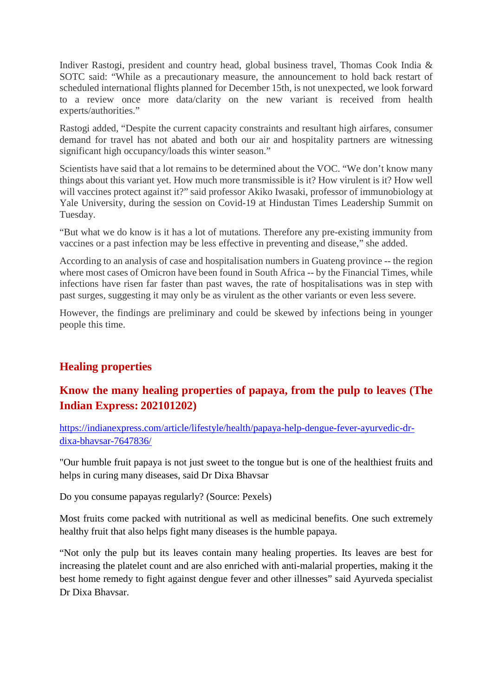Indiver Rastogi, president and country head, global business travel, Thomas Cook India & SOTC said: "While as a precautionary measure, the announcement to hold back restart of scheduled international flights planned for December 15th, is not unexpected, we look forward to a review once more data/clarity on the new variant is received from health experts/authorities."

Rastogi added, "Despite the current capacity constraints and resultant high airfares, consumer demand for travel has not abated and both our air and hospitality partners are witnessing significant high occupancy/loads this winter season."

Scientists have said that a lot remains to be determined about the VOC. "We don't know many things about this variant yet. How much more transmissible is it? How virulent is it? How well will vaccines protect against it?" said professor Akiko Iwasaki, professor of immunobiology at Yale University, during the session on Covid-19 at Hindustan Times Leadership Summit on Tuesday.

"But what we do know is it has a lot of mutations. Therefore any pre-existing immunity from vaccines or a past infection may be less effective in preventing and disease," she added.

According to an analysis of case and hospitalisation numbers in Guateng province -- the region where most cases of Omicron have been found in South Africa -- by the Financial Times, while infections have risen far faster than past waves, the rate of hospitalisations was in step with past surges, suggesting it may only be as virulent as the other variants or even less severe.

However, the findings are preliminary and could be skewed by infections being in younger people this time.

## **Healing properties**

## **Know the many healing properties of papaya, from the pulp to leaves (The Indian Express: 202101202)**

https://indianexpress.com/article/lifestyle/health/papaya-help-dengue-fever-ayurvedic-drdixa-bhavsar-7647836/

"Our humble fruit papaya is not just sweet to the tongue but is one of the healthiest fruits and helps in curing many diseases, said Dr Dixa Bhavsar

Do you consume papayas regularly? (Source: Pexels)

Most fruits come packed with nutritional as well as medicinal benefits. One such extremely healthy fruit that also helps fight many diseases is the humble papaya.

"Not only the pulp but its leaves contain many healing properties. Its leaves are best for increasing the platelet count and are also enriched with anti-malarial properties, making it the best home remedy to fight against dengue fever and other illnesses" said Ayurveda specialist Dr Dixa Bhavsar.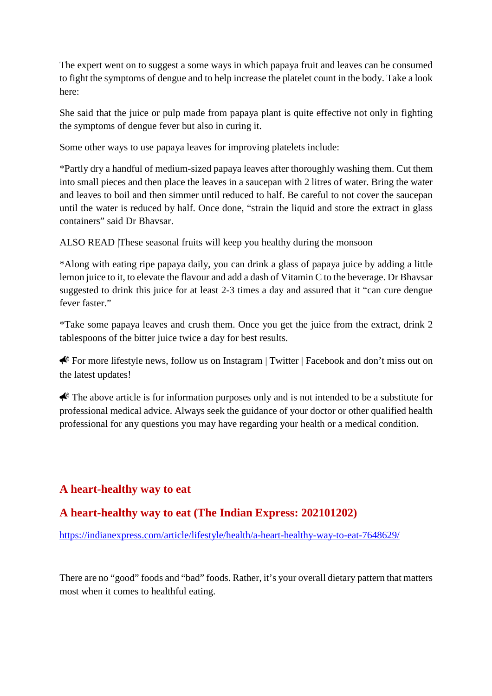The expert went on to suggest a some ways in which papaya fruit and leaves can be consumed to fight the symptoms of dengue and to help increase the platelet count in the body. Take a look here:

She said that the juice or pulp made from papaya plant is quite effective not only in fighting the symptoms of dengue fever but also in curing it.

Some other ways to use papaya leaves for improving platelets include:

\*Partly dry a handful of medium-sized papaya leaves after thoroughly washing them. Cut them into small pieces and then place the leaves in a saucepan with 2 litres of water. Bring the water and leaves to boil and then simmer until reduced to half. Be careful to not cover the saucepan until the water is reduced by half. Once done, "strain the liquid and store the extract in glass containers" said Dr Bhavsar.

ALSO READ |These seasonal fruits will keep you healthy during the monsoon

\*Along with eating ripe papaya daily, you can drink a glass of papaya juice by adding a little lemon juice to it, to elevate the flavour and add a dash of Vitamin C to the beverage. Dr Bhavsar suggested to drink this juice for at least 2-3 times a day and assured that it "can cure dengue fever faster."

\*Take some papaya leaves and crush them. Once you get the juice from the extract, drink 2 tablespoons of the bitter juice twice a day for best results.

For more lifestyle news, follow us on Instagram | Twitter | Facebook and don't miss out on the latest updates!

The above article is for information purposes only and is not intended to be a substitute for professional medical advice. Always seek the guidance of your doctor or other qualified health professional for any questions you may have regarding your health or a medical condition.

## **A heart-healthy way to eat**

## **A heart-healthy way to eat (The Indian Express: 202101202)**

https://indianexpress.com/article/lifestyle/health/a-heart-healthy-way-to-eat-7648629/

There are no "good" foods and "bad" foods. Rather, it's your overall dietary pattern that matters most when it comes to healthful eating.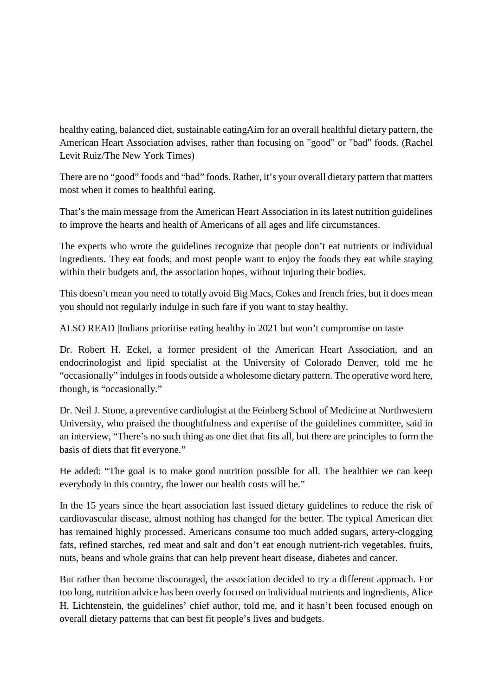healthy eating, balanced diet, sustainable eatingAim for an overall healthful dietary pattern, the American Heart Association advises, rather than focusing on "good" or "bad" foods. (Rachel Levit Ruiz/The New York Times)

There are no "good" foods and "bad" foods. Rather, it's your overall dietary pattern that matters most when it comes to healthful eating.

That's the main message from the American Heart Association in its latest nutrition guidelines to improve the hearts and health of Americans of all ages and life circumstances.

The experts who wrote the guidelines recognize that people don't eat nutrients or individual ingredients. They eat foods, and most people want to enjoy the foods they eat while staying within their budgets and, the association hopes, without injuring their bodies.

This doesn't mean you need to totally avoid Big Macs, Cokes and french fries, but it does mean you should not regularly indulge in such fare if you want to stay healthy.

ALSO READ |Indians prioritise eating healthy in 2021 but won't compromise on taste

Dr. Robert H. Eckel, a former president of the American Heart Association, and an endocrinologist and lipid specialist at the University of Colorado Denver, told me he "occasionally" indulges in foods outside a wholesome dietary pattern. The operative word here, though, is "occasionally."

Dr. Neil J. Stone, a preventive cardiologist at the Feinberg School of Medicine at Northwestern University, who praised the thoughtfulness and expertise of the guidelines committee, said in an interview, "There's no such thing as one diet that fits all, but there are principles to form the basis of diets that fit everyone."

He added: "The goal is to make good nutrition possible for all. The healthier we can keep everybody in this country, the lower our health costs will be."

In the 15 years since the heart association last issued dietary guidelines to reduce the risk of cardiovascular disease, almost nothing has changed for the better. The typical American diet has remained highly processed. Americans consume too much added sugars, artery-clogging fats, refined starches, red meat and salt and don't eat enough nutrient-rich vegetables, fruits, nuts, beans and whole grains that can help prevent heart disease, diabetes and cancer.

But rather than become discouraged, the association decided to try a different approach. For too long, nutrition advice has been overly focused on individual nutrients and ingredients, Alice H. Lichtenstein, the guidelines' chief author, told me, and it hasn't been focused enough on overall dietary patterns that can best fit people's lives and budgets.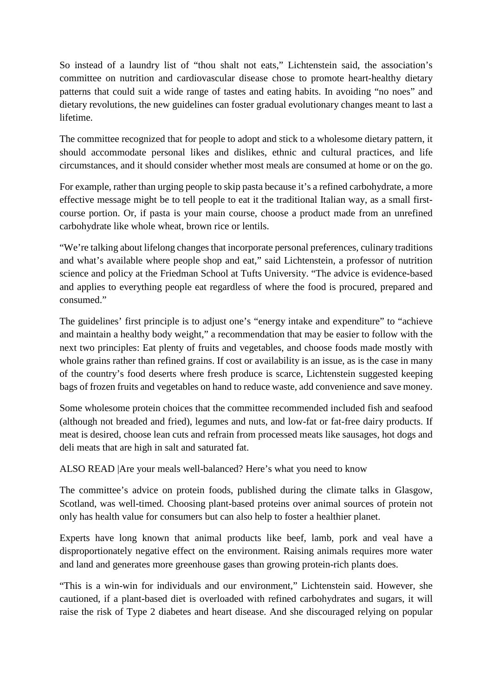So instead of a laundry list of "thou shalt not eats," Lichtenstein said, the association's committee on nutrition and cardiovascular disease chose to promote heart-healthy dietary patterns that could suit a wide range of tastes and eating habits. In avoiding "no noes" and dietary revolutions, the new guidelines can foster gradual evolutionary changes meant to last a lifetime.

The committee recognized that for people to adopt and stick to a wholesome dietary pattern, it should accommodate personal likes and dislikes, ethnic and cultural practices, and life circumstances, and it should consider whether most meals are consumed at home or on the go.

For example, rather than urging people to skip pasta because it's a refined carbohydrate, a more effective message might be to tell people to eat it the traditional Italian way, as a small firstcourse portion. Or, if pasta is your main course, choose a product made from an unrefined carbohydrate like whole wheat, brown rice or lentils.

"We're talking about lifelong changes that incorporate personal preferences, culinary traditions and what's available where people shop and eat," said Lichtenstein, a professor of nutrition science and policy at the Friedman School at Tufts University. "The advice is evidence-based and applies to everything people eat regardless of where the food is procured, prepared and consumed."

The guidelines' first principle is to adjust one's "energy intake and expenditure" to "achieve and maintain a healthy body weight," a recommendation that may be easier to follow with the next two principles: Eat plenty of fruits and vegetables, and choose foods made mostly with whole grains rather than refined grains. If cost or availability is an issue, as is the case in many of the country's food deserts where fresh produce is scarce, Lichtenstein suggested keeping bags of frozen fruits and vegetables on hand to reduce waste, add convenience and save money.

Some wholesome protein choices that the committee recommended included fish and seafood (although not breaded and fried), legumes and nuts, and low-fat or fat-free dairy products. If meat is desired, choose lean cuts and refrain from processed meats like sausages, hot dogs and deli meats that are high in salt and saturated fat.

ALSO READ |Are your meals well-balanced? Here's what you need to know

The committee's advice on protein foods, published during the climate talks in Glasgow, Scotland, was well-timed. Choosing plant-based proteins over animal sources of protein not only has health value for consumers but can also help to foster a healthier planet.

Experts have long known that animal products like beef, lamb, pork and veal have a disproportionately negative effect on the environment. Raising animals requires more water and land and generates more greenhouse gases than growing protein-rich plants does.

"This is a win-win for individuals and our environment," Lichtenstein said. However, she cautioned, if a plant-based diet is overloaded with refined carbohydrates and sugars, it will raise the risk of Type 2 diabetes and heart disease. And she discouraged relying on popular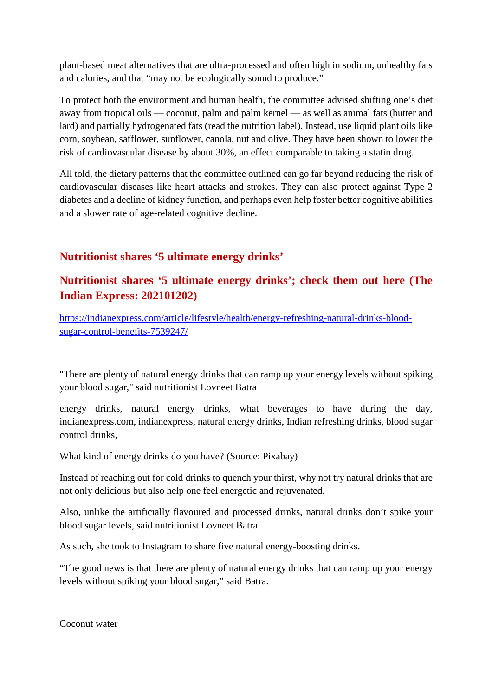plant-based meat alternatives that are ultra-processed and often high in sodium, unhealthy fats and calories, and that "may not be ecologically sound to produce."

To protect both the environment and human health, the committee advised shifting one's diet away from tropical oils — coconut, palm and palm kernel — as well as animal fats (butter and lard) and partially hydrogenated fats (read the nutrition label). Instead, use liquid plant oils like corn, soybean, safflower, sunflower, canola, nut and olive. They have been shown to lower the risk of cardiovascular disease by about 30%, an effect comparable to taking a statin drug.

All told, the dietary patterns that the committee outlined can go far beyond reducing the risk of cardiovascular diseases like heart attacks and strokes. They can also protect against Type 2 diabetes and a decline of kidney function, and perhaps even help foster better cognitive abilities and a slower rate of age-related cognitive decline.

## **Nutritionist shares '5 ultimate energy drinks'**

## **Nutritionist shares '5 ultimate energy drinks'; check them out here (The Indian Express: 202101202)**

https://indianexpress.com/article/lifestyle/health/energy-refreshing-natural-drinks-bloodsugar-control-benefits-7539247/

"There are plenty of natural energy drinks that can ramp up your energy levels without spiking your blood sugar," said nutritionist Lovneet Batra

energy drinks, natural energy drinks, what beverages to have during the day, indianexpress.com, indianexpress, natural energy drinks, Indian refreshing drinks, blood sugar control drinks,

What kind of energy drinks do you have? (Source: Pixabay)

Instead of reaching out for cold drinks to quench your thirst, why not try natural drinks that are not only delicious but also help one feel energetic and rejuvenated.

Also, unlike the artificially flavoured and processed drinks, natural drinks don't spike your blood sugar levels, said nutritionist Lovneet Batra.

As such, she took to Instagram to share five natural energy-boosting drinks.

"The good news is that there are plenty of natural energy drinks that can ramp up your energy levels without spiking your blood sugar," said Batra.

Coconut water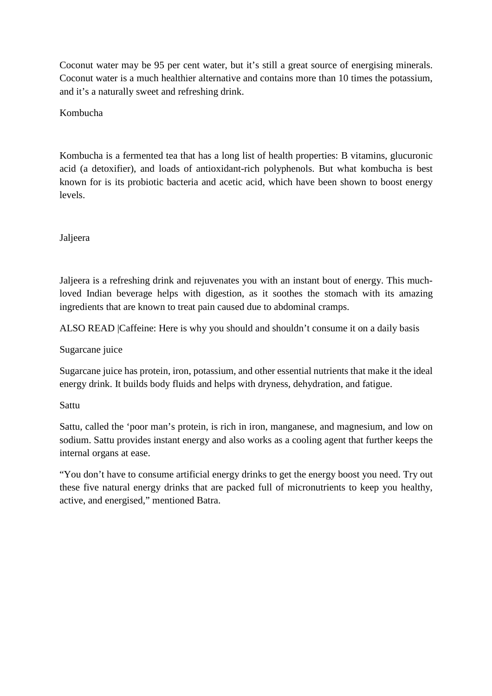Coconut water may be 95 per cent water, but it's still a great source of energising minerals. Coconut water is a much healthier alternative and contains more than 10 times the potassium, and it's a naturally sweet and refreshing drink.

Kombucha

Kombucha is a fermented tea that has a long list of health properties: B vitamins, glucuronic acid (a detoxifier), and loads of antioxidant-rich polyphenols. But what kombucha is best known for is its probiotic bacteria and acetic acid, which have been shown to boost energy levels.

Jaljeera

Jaljeera is a refreshing drink and rejuvenates you with an instant bout of energy. This muchloved Indian beverage helps with digestion, as it soothes the stomach with its amazing ingredients that are known to treat pain caused due to abdominal cramps.

ALSO READ |Caffeine: Here is why you should and shouldn't consume it on a daily basis

Sugarcane juice

Sugarcane juice has protein, iron, potassium, and other essential nutrients that make it the ideal energy drink. It builds body fluids and helps with dryness, dehydration, and fatigue.

Sattu

Sattu, called the 'poor man's protein, is rich in iron, manganese, and magnesium, and low on sodium. Sattu provides instant energy and also works as a cooling agent that further keeps the internal organs at ease.

"You don't have to consume artificial energy drinks to get the energy boost you need. Try out these five natural energy drinks that are packed full of micronutrients to keep you healthy, active, and energised," mentioned Batra.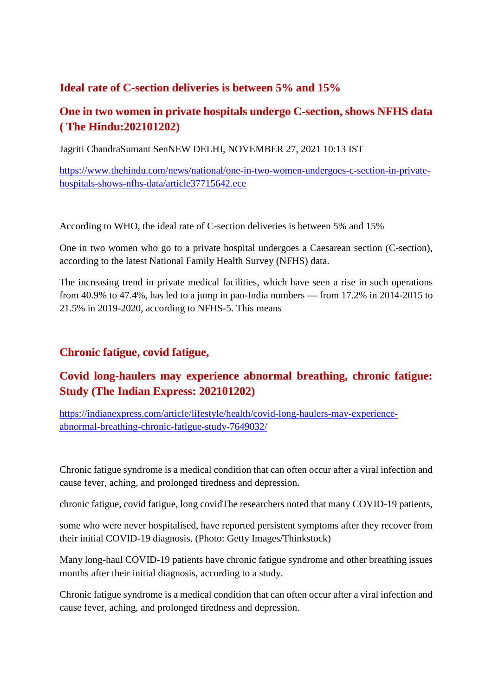## **Ideal rate of C-section deliveries is between 5% and 15%**

## **One in two women in private hospitals undergo C-section, shows NFHS data ( The Hindu:202101202)**

Jagriti ChandraSumant SenNEW DELHI, NOVEMBER 27, 2021 10:13 IST

https://www.thehindu.com/news/national/one-in-two-women-undergoes-c-section-in-privatehospitals-shows-nfhs-data/article37715642.ece

According to WHO, the ideal rate of C-section deliveries is between 5% and 15%

One in two women who go to a private hospital undergoes a Caesarean section (C-section), according to the latest National Family Health Survey (NFHS) data.

The increasing trend in private medical facilities, which have seen a rise in such operations from 40.9% to 47.4%, has led to a jump in pan-India numbers — from 17.2% in 2014-2015 to 21.5% in 2019-2020, according to NFHS-5. This means

## **Chronic fatigue, covid fatigue,**

## **Covid long-haulers may experience abnormal breathing, chronic fatigue: Study (The Indian Express: 202101202)**

https://indianexpress.com/article/lifestyle/health/covid-long-haulers-may-experienceabnormal-breathing-chronic-fatigue-study-7649032/

Chronic fatigue syndrome is a medical condition that can often occur after a viral infection and cause fever, aching, and prolonged tiredness and depression.

chronic fatigue, covid fatigue, long covidThe researchers noted that many COVID-19 patients,

some who were never hospitalised, have reported persistent symptoms after they recover from their initial COVID-19 diagnosis. (Photo: Getty Images/Thinkstock)

Many long-haul COVID-19 patients have chronic fatigue syndrome and other breathing issues months after their initial diagnosis, according to a study.

Chronic fatigue syndrome is a medical condition that can often occur after a viral infection and cause fever, aching, and prolonged tiredness and depression.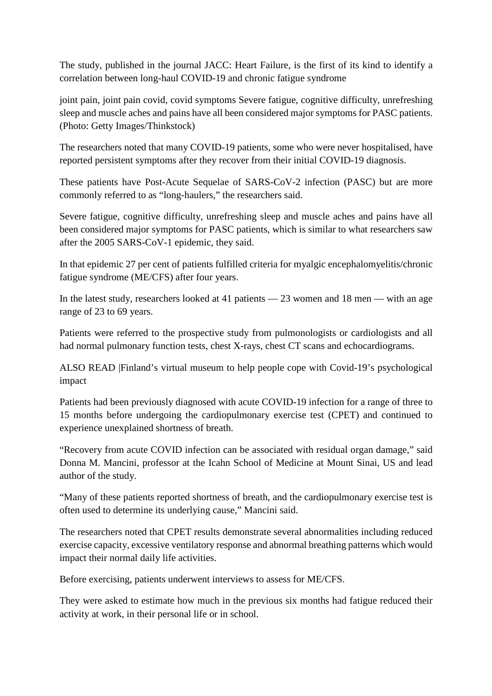The study, published in the journal JACC: Heart Failure, is the first of its kind to identify a correlation between long-haul COVID-19 and chronic fatigue syndrome

joint pain, joint pain covid, covid symptoms Severe fatigue, cognitive difficulty, unrefreshing sleep and muscle aches and pains have all been considered major symptoms for PASC patients. (Photo: Getty Images/Thinkstock)

The researchers noted that many COVID-19 patients, some who were never hospitalised, have reported persistent symptoms after they recover from their initial COVID-19 diagnosis.

These patients have Post-Acute Sequelae of SARS-CoV-2 infection (PASC) but are more commonly referred to as "long-haulers," the researchers said.

Severe fatigue, cognitive difficulty, unrefreshing sleep and muscle aches and pains have all been considered major symptoms for PASC patients, which is similar to what researchers saw after the 2005 SARS-CoV-1 epidemic, they said.

In that epidemic 27 per cent of patients fulfilled criteria for myalgic encephalomyelitis/chronic fatigue syndrome (ME/CFS) after four years.

In the latest study, researchers looked at 41 patients — 23 women and 18 men — with an age range of 23 to 69 years.

Patients were referred to the prospective study from pulmonologists or cardiologists and all had normal pulmonary function tests, chest X-rays, chest CT scans and echocardiograms.

ALSO READ |Finland's virtual museum to help people cope with Covid-19's psychological impact

Patients had been previously diagnosed with acute COVID-19 infection for a range of three to 15 months before undergoing the cardiopulmonary exercise test (CPET) and continued to experience unexplained shortness of breath.

"Recovery from acute COVID infection can be associated with residual organ damage," said Donna M. Mancini, professor at the Icahn School of Medicine at Mount Sinai, US and lead author of the study.

"Many of these patients reported shortness of breath, and the cardiopulmonary exercise test is often used to determine its underlying cause," Mancini said.

The researchers noted that CPET results demonstrate several abnormalities including reduced exercise capacity, excessive ventilatory response and abnormal breathing patterns which would impact their normal daily life activities.

Before exercising, patients underwent interviews to assess for ME/CFS.

They were asked to estimate how much in the previous six months had fatigue reduced their activity at work, in their personal life or in school.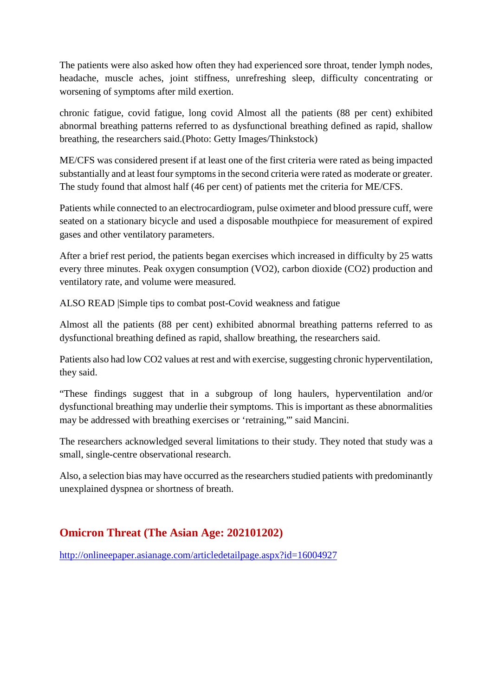The patients were also asked how often they had experienced sore throat, tender lymph nodes, headache, muscle aches, joint stiffness, unrefreshing sleep, difficulty concentrating or worsening of symptoms after mild exertion.

chronic fatigue, covid fatigue, long covid Almost all the patients (88 per cent) exhibited abnormal breathing patterns referred to as dysfunctional breathing defined as rapid, shallow breathing, the researchers said.(Photo: Getty Images/Thinkstock)

ME/CFS was considered present if at least one of the first criteria were rated as being impacted substantially and at least four symptoms in the second criteria were rated as moderate or greater. The study found that almost half (46 per cent) of patients met the criteria for ME/CFS.

Patients while connected to an electrocardiogram, pulse oximeter and blood pressure cuff, were seated on a stationary bicycle and used a disposable mouthpiece for measurement of expired gases and other ventilatory parameters.

After a brief rest period, the patients began exercises which increased in difficulty by 25 watts every three minutes. Peak oxygen consumption (VO2), carbon dioxide (CO2) production and ventilatory rate, and volume were measured.

ALSO READ |Simple tips to combat post-Covid weakness and fatigue

Almost all the patients (88 per cent) exhibited abnormal breathing patterns referred to as dysfunctional breathing defined as rapid, shallow breathing, the researchers said.

Patients also had low CO2 values at rest and with exercise, suggesting chronic hyperventilation, they said.

"These findings suggest that in a subgroup of long haulers, hyperventilation and/or dysfunctional breathing may underlie their symptoms. This is important as these abnormalities may be addressed with breathing exercises or 'retraining,'" said Mancini.

The researchers acknowledged several limitations to their study. They noted that study was a small, single-centre observational research.

Also, a selection bias may have occurred as the researchers studied patients with predominantly unexplained dyspnea or shortness of breath.

## **Omicron Threat (The Asian Age: 202101202)**

http://onlineepaper.asianage.com/articledetailpage.aspx?id=16004927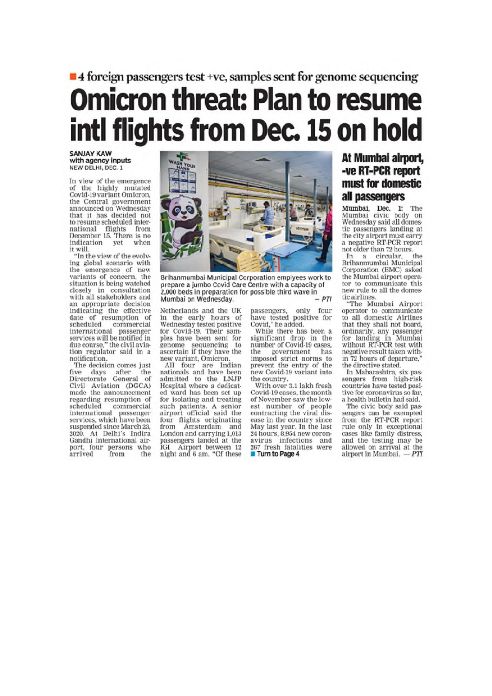## $\blacksquare$  4 foreign passengers test +ve, samples sent for genome sequencing **Omicron threat: Plan to resume** intl flights from Dec. 15 on hold

#### **SANJAY KAW** with agency inputs NEW DELHI, DEC. 1

In view of the emergence of the highly mutated Covid-19 variant Omicron, the Central government announced on Wednesday that it has decided not to resume scheduled international flights from<br>December 15. There is no indication yet when it will.

"In the view of the evolving global scenario with<br>the emergence of new variants of concern, the situation is being watched closely in consultation with all stakeholders and an appropriate decision indicating the effective date of resumption of scheduled commercial<br>international passenger services will be notified in due course," the civil avia-<br>tion regulator said in a notification.

The decision comes just five days after the<br>Directorate General of Civil Aviation (DGCA)<br>made the announcement regarding resumption of scheduled commercial international passenger<br>services, which have been suspended since March 23, 2020. At Delhi's Indira Gandhi International airport, four persons who arrived from the



Brihanmumbai Municipal Corporation emplyees work to prepare a jumbo Covid Care Centre with a capacity of 2,000 beds in preparation for possible third wave in Mumbai on Wednesday.  $-DTI$ 

Netherlands and the UK in the early hours of Wednesday tested positive for Covid-19. Their samples have been sent for genome sequencing to<br>ascertain if they have the new variant, Omicron.<br>All four are Indian

nationals and have been<br>admitted to the LNJP Hospital where a dedicated ward has been set up for isolating and treating such patients. A senior<br>airport official said the four flights originating from Amsterdam and London and carrying 1,013 passengers landed at the IGI Airport between 12 night and 6 am. "Of these passengers, only four<br>have tested positive for<br>Covid," he added.

While there has been a significant drop in the<br>number of Covid-19 cases, the government has<br>imposed strict norms to<br>prevent the entry of the new Covid-19 variant into the country.

With over 3.1 lakh fresh Covid-19 cases, the month of November saw the lowest number of people contracting the viral disease in the country since May last year. In the last 24 hours, 8,954 new coronavirus infections and 267 fresh fatalities were Turn to Page 4

## At Mumbai airport, -ve RT-PCR report must for domestic all passengers

Mumbai, Dec. 1: The<br>Mumbai civic body on Wednesday said all domestic passengers landing at the city airport must carry a negative K17 CM.<br>not older than 72 hours.<br>shoular\_\_the a negative RT-PCR report

In a circular, the<br>Brihanmumbai Municipal Corporation (BMC) asked the Mumbai airport operator to communicate this new rule to all the domestic airlines.

"The Mumbai Airport operator to communicate to all domestic Airlines that they shall not board, ordinarily, any passenger<br>for landing in Mumbai<br>without RT-PCR test with negative result taken within 72 hours of departure. the directive stated.

In Maharashtra, six pas-<br>sengers from high-risk countries have tested positive for coronavirus so far. a health bulletin had said.

The civic body said pasre erve today sampled<br>from the RT-PCR report<br>from the RT-PCR report<br>rule only in exceptional<br>cases like family distress, and the testing may be allowed on arrival at the airport in Mumbai. - PTI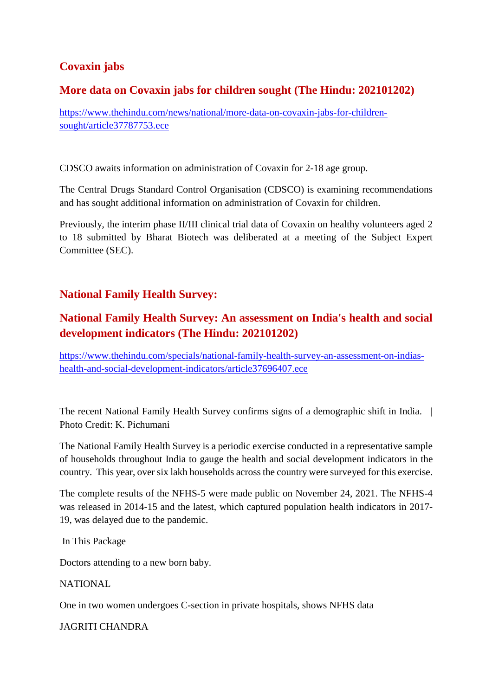## **Covaxin jabs**

## **More data on Covaxin jabs for children sought (The Hindu: 202101202)**

https://www.thehindu.com/news/national/more-data-on-covaxin-jabs-for-childrensought/article37787753.ece

CDSCO awaits information on administration of Covaxin for 2-18 age group.

The Central Drugs Standard Control Organisation (CDSCO) is examining recommendations and has sought additional information on administration of Covaxin for children.

Previously, the interim phase II/III clinical trial data of Covaxin on healthy volunteers aged 2 to 18 submitted by Bharat Biotech was deliberated at a meeting of the Subject Expert Committee (SEC).

## **National Family Health Survey:**

## **National Family Health Survey: An assessment on India's health and social development indicators (The Hindu: 202101202)**

https://www.thehindu.com/specials/national-family-health-survey-an-assessment-on-indiashealth-and-social-development-indicators/article37696407.ece

The recent National Family Health Survey confirms signs of a demographic shift in India. | Photo Credit: K. Pichumani

The National Family Health Survey is a periodic exercise conducted in a representative sample of households throughout India to gauge the health and social development indicators in the country. This year, over six lakh households across the country were surveyed for this exercise.

The complete results of the NFHS-5 were made public on November 24, 2021. The NFHS-4 was released in 2014-15 and the latest, which captured population health indicators in 2017- 19, was delayed due to the pandemic.

In This Package

Doctors attending to a new born baby.

**NATIONAL** 

One in two women undergoes C-section in private hospitals, shows NFHS data

JAGRITI CHANDRA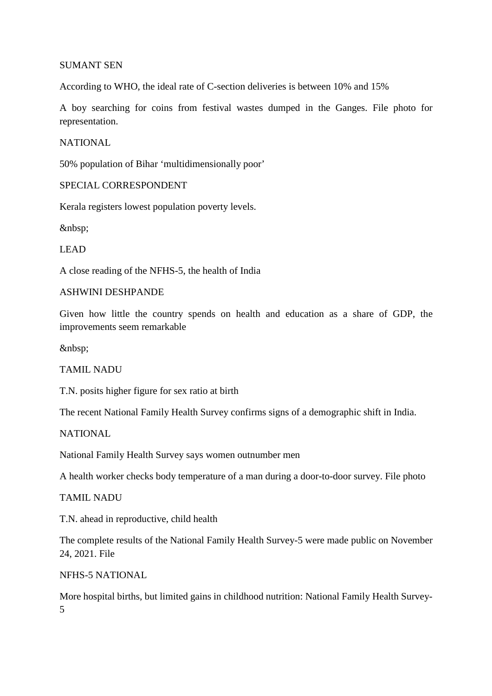#### SUMANT SEN

According to WHO, the ideal rate of C-section deliveries is between 10% and 15%

A boy searching for coins from festival wastes dumped in the Ganges. File photo for representation.

#### NATIONAL

50% population of Bihar 'multidimensionally poor'

#### SPECIAL CORRESPONDENT

Kerala registers lowest population poverty levels.

LEAD

A close reading of the NFHS-5, the health of India

#### ASHWINI DESHPANDE

Given how little the country spends on health and education as a share of GDP, the improvements seem remarkable

TAMIL NADU

T.N. posits higher figure for sex ratio at birth

The recent National Family Health Survey confirms signs of a demographic shift in India.

NATIONAL

National Family Health Survey says women outnumber men

A health worker checks body temperature of a man during a door-to-door survey. File photo

TAMIL NADU

T.N. ahead in reproductive, child health

The complete results of the National Family Health Survey-5 were made public on November 24, 2021. File

NFHS-5 NATIONAL

More hospital births, but limited gains in childhood nutrition: National Family Health Survey-5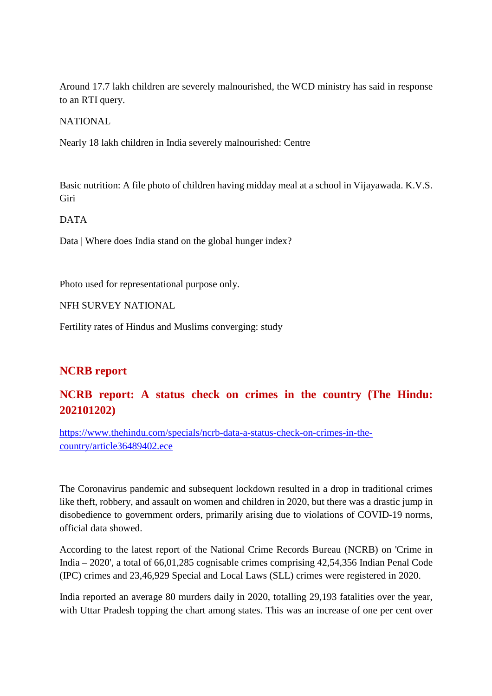Around 17.7 lakh children are severely malnourished, the WCD ministry has said in response to an RTI query.

NATIONAL

Nearly 18 lakh children in India severely malnourished: Centre

Basic nutrition: A file photo of children having midday meal at a school in Vijayawada. K.V.S. Giri

DATA

Data | Where does India stand on the global hunger index?

Photo used for representational purpose only.

NFH SURVEY NATIONAL

Fertility rates of Hindus and Muslims converging: study

## **NCRB report**

## **NCRB report: A status check on crimes in the country (The Hindu: 202101202)**

https://www.thehindu.com/specials/ncrb-data-a-status-check-on-crimes-in-thecountry/article36489402.ece

The Coronavirus pandemic and subsequent lockdown resulted in a drop in traditional crimes like theft, robbery, and assault on women and children in 2020, but there was a drastic jump in disobedience to government orders, primarily arising due to violations of COVID-19 norms, official data showed.

According to the latest report of the National Crime Records Bureau (NCRB) on 'Crime in India – 2020', a total of 66,01,285 cognisable crimes comprising 42,54,356 Indian Penal Code (IPC) crimes and 23,46,929 Special and Local Laws (SLL) crimes were registered in 2020.

India reported an average 80 murders daily in 2020, totalling 29,193 fatalities over the year, with Uttar Pradesh topping the chart among states. This was an increase of one per cent over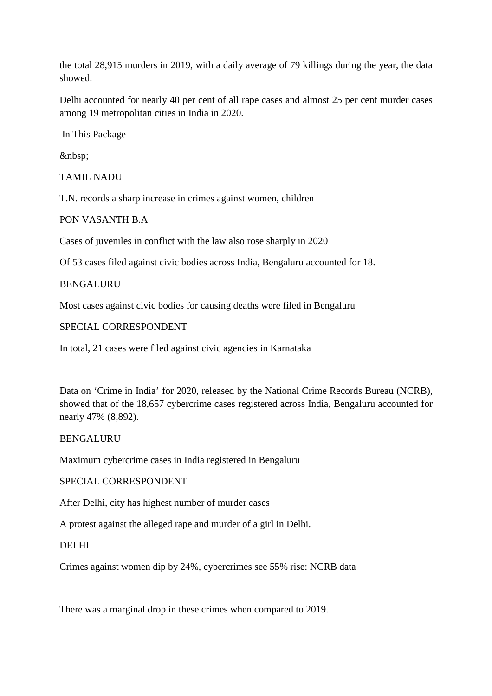the total 28,915 murders in 2019, with a daily average of 79 killings during the year, the data showed.

Delhi accounted for nearly 40 per cent of all rape cases and almost 25 per cent murder cases among 19 metropolitan cities in India in 2020.

In This Package

&nbsp:

TAMIL NADU

T.N. records a sharp increase in crimes against women, children

PON VASANTH B.A

Cases of juveniles in conflict with the law also rose sharply in 2020

Of 53 cases filed against civic bodies across India, Bengaluru accounted for 18.

BENGALURU

Most cases against civic bodies for causing deaths were filed in Bengaluru

SPECIAL CORRESPONDENT

In total, 21 cases were filed against civic agencies in Karnataka

Data on 'Crime in India' for 2020, released by the National Crime Records Bureau (NCRB), showed that of the 18,657 cybercrime cases registered across India, Bengaluru accounted for nearly 47% (8,892).

#### BENGALURU

Maximum cybercrime cases in India registered in Bengaluru

#### SPECIAL CORRESPONDENT

After Delhi, city has highest number of murder cases

A protest against the alleged rape and murder of a girl in Delhi.

#### DELHI

Crimes against women dip by 24%, cybercrimes see 55% rise: NCRB data

There was a marginal drop in these crimes when compared to 2019.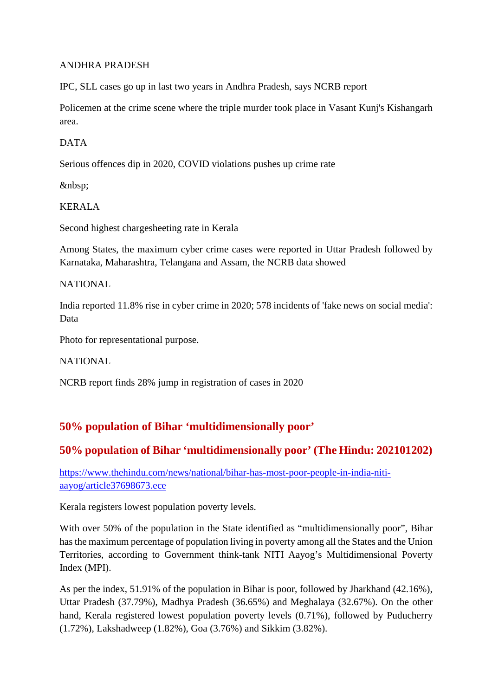#### ANDHRA PRADESH

IPC, SLL cases go up in last two years in Andhra Pradesh, says NCRB report

Policemen at the crime scene where the triple murder took place in Vasant Kunj's Kishangarh area.

#### DATA

Serious offences dip in 2020, COVID violations pushes up crime rate

#### KERALA

Second highest chargesheeting rate in Kerala

Among States, the maximum cyber crime cases were reported in Uttar Pradesh followed by Karnataka, Maharashtra, Telangana and Assam, the NCRB data showed

#### NATIONAL

India reported 11.8% rise in cyber crime in 2020; 578 incidents of 'fake news on social media': Data

Photo for representational purpose.

NATIONAL

NCRB report finds 28% jump in registration of cases in 2020

## **50% population of Bihar 'multidimensionally poor'**

## **50% population of Bihar 'multidimensionally poor' (The Hindu: 202101202)**

https://www.thehindu.com/news/national/bihar-has-most-poor-people-in-india-nitiaayog/article37698673.ece

Kerala registers lowest population poverty levels.

With over 50% of the population in the State identified as "multidimensionally poor", Bihar has the maximum percentage of population living in poverty among all the States and the Union Territories, according to Government think-tank NITI Aayog's Multidimensional Poverty Index (MPI).

As per the index, 51.91% of the population in Bihar is poor, followed by Jharkhand (42.16%), Uttar Pradesh (37.79%), Madhya Pradesh (36.65%) and Meghalaya (32.67%). On the other hand, Kerala registered lowest population poverty levels (0.71%), followed by Puducherry (1.72%), Lakshadweep (1.82%), Goa (3.76%) and Sikkim (3.82%).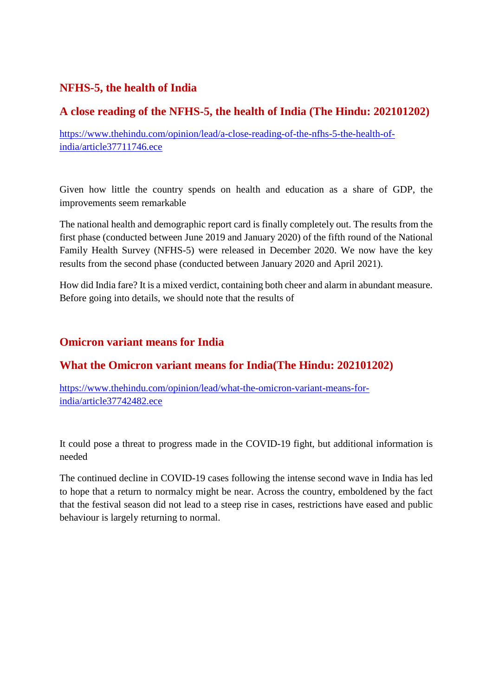## **NFHS-5, the health of India**

## **A close reading of the NFHS-5, the health of India (The Hindu: 202101202)**

https://www.thehindu.com/opinion/lead/a-close-reading-of-the-nfhs-5-the-health-ofindia/article37711746.ece

Given how little the country spends on health and education as a share of GDP, the improvements seem remarkable

The national health and demographic report card is finally completely out. The results from the first phase (conducted between June 2019 and January 2020) of the fifth round of the National Family Health Survey (NFHS-5) were released in December 2020. We now have the key results from the second phase (conducted between January 2020 and April 2021).

How did India fare? It is a mixed verdict, containing both cheer and alarm in abundant measure. Before going into details, we should note that the results of

## **Omicron variant means for India**

## **What the Omicron variant means for India(The Hindu: 202101202)**

https://www.thehindu.com/opinion/lead/what-the-omicron-variant-means-forindia/article37742482.ece

It could pose a threat to progress made in the COVID-19 fight, but additional information is needed

The continued decline in COVID-19 cases following the intense second wave in India has led to hope that a return to normalcy might be near. Across the country, emboldened by the fact that the festival season did not lead to a steep rise in cases, restrictions have eased and public behaviour is largely returning to normal.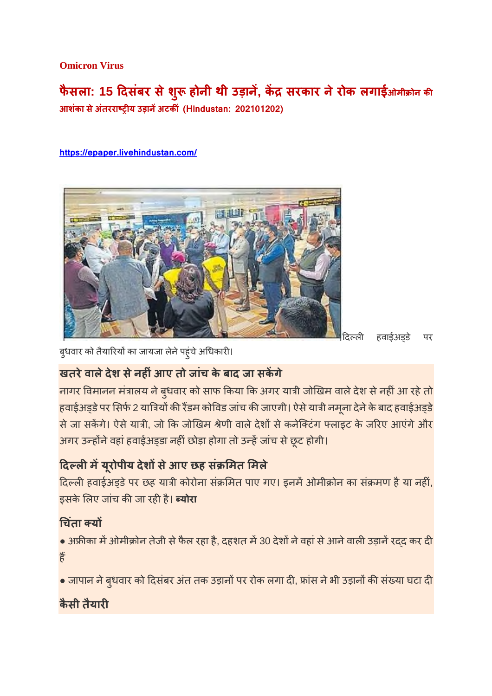**Omicron Virus**

**फैसला: 15 दसबं र सेश ु होनी थी उड़ान , क सरकार नेरोक लगाईओमी ोन क आशंका सेअंतरराय उड़ानअटकं (Hindustan: 202101202)**

**https://epaper.livehindustan.com/**



|दिल्ली हवाईअड़डे पर

बुधवार को तैयारियों का जायजा लेने पहुंचे अधिकारी।

## **खतरेवालेदेश सेनहंआए तो जांच के बाद जा सकगे**

नागर विमानन मंत्रालय ने बुधवार को साफ किया कि अगर यात्री जोखिम वाले देश से नहीं आ रहे तो हवाईअड्डे पर सिर्फ 2 यात्रियों की रैंडम कोविड जांच की जाएगी। ऐसे यात्री नमूना देने के बाद हवाईअड्डे से जा सकेंगे। ऐसे यात्री, जो कि जोखिम श्रेणी वाले देशों से कनेक्टिंग फ्लाइट के जरिए आएंगे और अगर उन्होंने वहां हवाईअड्डा नहीं छोड़ा होगा तो उन्हें जांच से छूट होगी।

## **दलमय ूरोपीय देशसेआए छह सं मत मले**

दिल्ली हवाईअड़डे पर छह यात्री कोरोना संक्रमित पाए गए। इनमें ओमीक्रोन का संक्रमण है या नहीं, इसके लिए जांच की जा रही है। **ब्योरा** 

## **चतं ा य**

• अफ्रीका में ओमीक्रोन तेजी से फैल रहा है, दहशत में 30 देशों ने वहां से आने वाली उड़ानें रद्द कर दी ह

 $\bullet$  जापान ने ब्धवार को दिसंबर अंत तक उड़ानों पर रोक लगा दी, फ्रांस ने भी उड़ानों की संख्या घटा दी

## **कैसी तैयार**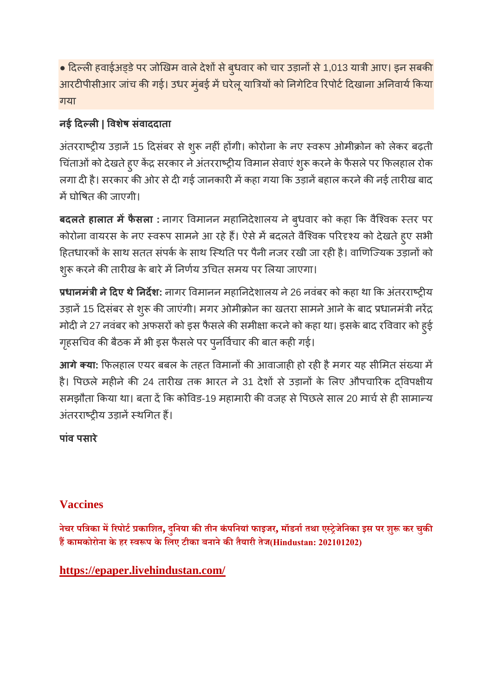• दिल्ली हवाईअड्डे पर जोखिम वाले देशों से बुधवार को चार उड़ानों से 1,013 यात्री आए। इन सबकी आरटीपीसीआर जांच की गई। उधर मुंबई में घरेलू यात्रियों को निगेटिव रिपोर्ट दिखाना अनिवार्य किया गया

## **नई दल| वशषे संवाददाता**

अंतरराष्ट्रीय उड़ानें 15 दिसंबर से शुरू नहीं होंगी। कोरोना के नए स्वरूप ओमीक्रोन को लेकर बढ़ती चिंताओं को देखते हुए केंद्र सरकार ने अंतरराष्ट्रीय विमान सेवाएं शुरू करने के फैसले पर फिलहाल रोक लगा दी है। सरकार की ओर से दी गई जानकारी में कहा गया कि उड़ानें बहाल करने की नई तारीख बाद में घोषित की जाएगी।

**बदलतेहालात मफैसला :** नागर वमानन महानदेशालय नेबुधवार को कहा क वैिवक तर पर कोरोना वायरस के नए स्वरूप सामने आ रहे हैं। ऐसे में बदलते वैश्विक परिदृश्य को देखते हुए सभी हितधारकों के साथ सतत संपर्क के साथ स्थिति पर पैनी नजर रखी जा रही है। वाणिज्यिक उड़ानों को शुरू करने की तारीख के बारे में निर्णय उचित समय पर लिया जाएगा।

**धानमंी नेदए थेनदश:** नागर वमानन महानदेशालय ने26 नवंबर को कहा था क अतं रराय उड़ानें 15 दिसंबर से शुरू की जाएंगी। मगर ओमीक्रोन का खतरा सामने आने के बाद प्रधानमंत्री नरेंद्र मोदी ने 27 नवंबर को अफसरों को इस फैसले की समीक्षा करने को कहा था। इसके बाद रविवार को हुई गृहसचिव की बैठक में भी इस फैसले पर पुनर्विचार की बात कही गई।

**आगे क्या:** फिलहाल एयर बबल के तहत विमानों की आवाजाही हो रही है मगर यह सीमित संख्या में है। पिछले महीने की 24 तारीख तक भारत ने 31 देशों से उड़ानों के लिए औपचारिक दविपक्षीय समझौता किया था। बता दें कि कोविड-19 महामारी की वजह से पिछले साल 20 मार्च से ही सामान्य अंतरराष्ट्रीय उड़ानें स्थगित हैं।

**पांव पसारे**

## **Vaccines**

**नेचर पिका मरपोटकािशत, दुिनया कतीन कंपिनयांफाइजर, मॉडनातथा एेजेिनका इस पर शुकर चुक हकामकोरोना के हर वप के िलए टीका बनानेकतैयारी तेज(Hindustan: 202101202)**

## **https://epaper.livehindustan.com/**